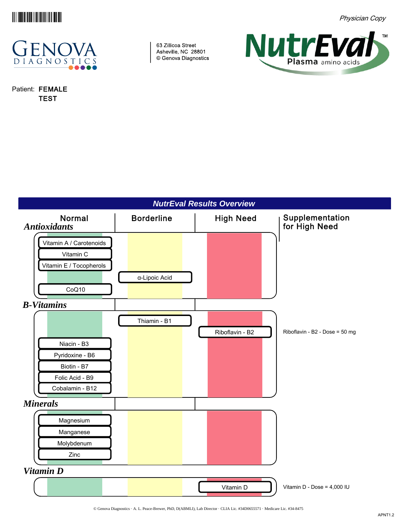

Physician Copy



Patient: FEMALE TEST

63 Zillicoa Street Asheville, NC 28801 © Genova Diagnostics



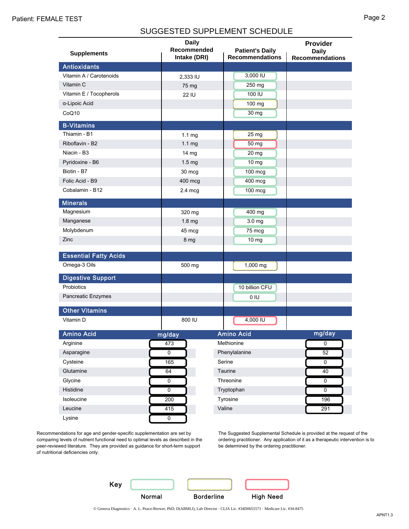## SUGGESTED SUPPLEMENT SCHEDULE

|                              | <b>Daily</b><br>Recommended |                                                  | Provider                               |
|------------------------------|-----------------------------|--------------------------------------------------|----------------------------------------|
| <b>Supplements</b>           | Intake (DRI)                | <b>Patient's Daily</b><br><b>Recommendations</b> | <b>Daily</b><br><b>Recommendations</b> |
| <b>Antioxidants</b>          |                             |                                                  |                                        |
| Vitamin A / Carotenoids      | 2,333 IU                    | 3,000 IU                                         |                                        |
| Vitamin C                    | 75 mg                       | 250 mg                                           |                                        |
| Vitamin E / Tocopherols      | <b>22 IU</b>                | 100 IU                                           |                                        |
| α-Lipoic Acid                |                             | 100 mg                                           |                                        |
| CoQ10                        |                             | 30 mg                                            |                                        |
| <b>B-Vitamins</b>            |                             |                                                  |                                        |
| Thiamin - B1                 | 1.1 <sub>mg</sub>           | $25 \, \text{mg}$                                |                                        |
| Riboflavin - B2              | 1.1 <sub>mg</sub>           | 50 mg                                            |                                        |
| Niacin - B3                  | 14 mg                       | 20 mg                                            |                                        |
| Pyridoxine - B6              | 1.5 <sub>mg</sub>           | $10 \, \text{mg}$                                |                                        |
| Biotin - B7                  | 30 mcg                      | 100 mcg                                          |                                        |
| Folic Acid - B9              | 400 mcg                     | 400 mcg                                          |                                        |
| Cobalamin - B12              | $2.4 \text{ mcg}$           | 100 mcg                                          |                                        |
| <b>Minerals</b>              |                             |                                                  |                                        |
| Magnesium                    | 320 mg                      | 400 mg                                           |                                        |
| Manganese                    | 1.8 mg                      | 3.0 mg                                           |                                        |
| Molybdenum                   | 45 mcg                      | 75 mcg                                           |                                        |
| Zinc                         | 8 mg                        | 10 <sub>mg</sub>                                 |                                        |
| <b>Essential Fatty Acids</b> |                             |                                                  |                                        |
| Omega-3 Oils                 | 500 mg                      | 1,000 mg                                         |                                        |
| <b>Digestive Support</b>     |                             |                                                  |                                        |
| Probiotics                   |                             | 10 billion CFU                                   |                                        |
| Pancreatic Enzymes           |                             | 0 IU                                             |                                        |
| <b>Other Vitamins</b>        |                             |                                                  |                                        |
| Vitamin D                    | 800 IU                      | 4,000 IU                                         |                                        |
| <b>Amino Acid</b>            | mg/day                      | <b>Amino Acid</b>                                | mg/day                                 |
| Arginine                     | 473                         | Methionine                                       | $\overline{0}$                         |
| Asparagine                   | $\overline{0}$              | Phenylalanine                                    | $\overline{52}$                        |
| Cysteine                     | 165                         | Serine                                           | $\overline{0}$                         |
| Glutamine                    | 64                          | Taurine                                          | 40                                     |
| Glycine                      | $\overline{0}$              | Threonine                                        | $\overline{\text{o}}$                  |
| Histidine                    | $\overline{0}$              | Tryptophan                                       | $\overline{0}$                         |
| Isoleucine                   | 200                         | Tyrosine                                         | 196                                    |
| Leucine                      | 415                         | Valine                                           | 291                                    |
| Lysine                       | $\overline{0}$              |                                                  |                                        |

Recommendations for age and gender-specific supplementation are set by comparing levels of nutrient functional need to optimal levels as described in the peer-reviewed literature. They are provided as guidance for short-term support of nutritional deficiencies only.

The Suggested Supplemental Schedule is provided at the request of the ordering practitioner. Any application of it as a therapeutic intervention is to be determined by the ordering practitioner.

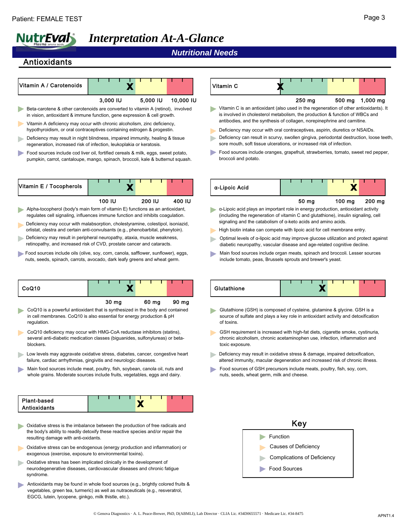# *Interpretation At-A-Glance*

#### *Nutritional Needs*

 $\mathsf{v}$ 

#### Antioxidants

|                                                                                                                                                                                                                                                                                                                                 | 3.000 IU         | 5,000 IU | 10.000 IU |
|---------------------------------------------------------------------------------------------------------------------------------------------------------------------------------------------------------------------------------------------------------------------------------------------------------------------------------|------------------|----------|-----------|
| Beta-carotene & other carotenoids are converted to vitamin A (retinol), involved<br>in vision, antioxidant & immune function, gene expression & cell growth.                                                                                                                                                                    |                  |          |           |
| Vitamin A deficiency may occur with chronic alcoholism, zinc deficiency,                                                                                                                                                                                                                                                        |                  |          |           |
| hypothyroidism, or oral contraceptives containing estrogen & progestin.                                                                                                                                                                                                                                                         |                  |          |           |
| > Deficiency may result in night blindness, impaired immunity, healing & tissue<br>regeneration, increased risk of infection, leukoplakia or keratosis.                                                                                                                                                                         |                  |          |           |
| Food sources include cod liver oil, fortified cereals & milk, eggs, sweet potato,<br>pumpkin, carrot, cantaloupe, mango, spinach, broccoli, kale & butternut squash.                                                                                                                                                            |                  |          |           |
|                                                                                                                                                                                                                                                                                                                                 |                  |          |           |
| Vitamin E / Tocopherols                                                                                                                                                                                                                                                                                                         |                  |          |           |
|                                                                                                                                                                                                                                                                                                                                 | 100 IU           | 200 IU   | 400 IU    |
| regulates cell signaling, influences immune function and inhibits coagulation.<br>Deficiency may occur with malabsorption, cholestyramine, colestipol, isoniazid,<br>orlistat, olestra and certain anti-convulsants (e.g., phenobarbital, phenytoin).                                                                           |                  |          |           |
| - Deficiency may result in peripheral neuropathy, ataxia, muscle weakness,<br>retinopathy, and increased risk of CVD, prostate cancer and cataracts.<br>Food sources include oils (olive, soy, corn, canola, safflower, sunflower), eggs,<br>nuts, seeds, spinach, carrots, avocado, dark leafy greens and wheat germ.<br>CoQ10 | Τ                |          |           |
|                                                                                                                                                                                                                                                                                                                                 |                  |          |           |
| CoQ10 is a powerful antioxidant that is synthesized in the body and contained<br>in cell membranes. CoQ10 is also essential for energy production & pH<br>regulation.                                                                                                                                                           | 30 <sub>mg</sub> | 60 mg    | 90 mg     |
| CoQ10 deficiency may occur with HMG-CoA reductase inhibitors (statins),<br>several anti-diabetic medication classes (biguanides, sulfonylureas) or beta-<br>blockers.                                                                                                                                                           |                  |          |           |
| Low levels may aggravate oxidative stress, diabetes, cancer, congestive heart<br>failure, cardiac arrhythmias, gingivitis and neurologic diseases.                                                                                                                                                                              |                  |          |           |

| Plant-based  |  |  |  |  |  |  |
|--------------|--|--|--|--|--|--|
| Antioxidants |  |  |  |  |  |  |

- Oxidative stress is the imbalance between the production of free radicals and the body's ability to readily detoxify these reactive species and/or repair the resulting damage with anti-oxidants.
- Oxidative stress can be endogenous (energy production and inflammation) or exogenous (exercise, exposure to environmental toxins).
- Oxidative stress has been implicated clinically in the development of neurodegenerative diseases, cardiovascular diseases and chronic fatigue syndrome.
- Antioxidants may be found in whole food sources (e.g., brightly colored fruits & vegetables, green tea, turmeric) as well as nutraceuticals (e.g., resveratrol, EGCG, lutein, lycopene, ginkgo, milk thistle, etc.).

| itamin C                                                                             | w. |                  |                 |
|--------------------------------------------------------------------------------------|----|------------------|-----------------|
|                                                                                      |    | $250 \text{ mg}$ | 500 mg 1,000 mg |
| Vitamin C is an antioxidant (also used in the regeneration of other antioxidants) It |    |                  |                 |

- Vitamin C is an antioxidant (also used in the regeneration of other antioxidants). It is involved in cholesterol metabolism, the production & function of WBCs and antibodies, and the synthesis of collagen, norepinephrine and carnitine.
- Deficiency may occur with oral contraceptives, aspirin, diuretics or NSAIDs.
- Deficiency can result in scurvy, swollen gingiva, periodontal destruction, loose teeth, sore mouth, soft tissue ulcerations, or increased risk of infection.
- Food sources include oranges, grapefruit, strawberries, tomato, sweet red pepper, broccoli and potato.

| a-Lipoic Acid |  |  |  |  |  |
|---------------|--|--|--|--|--|
|               |  |  |  |  |  |

50 mg 100 mg 200 mg

- α-Lipoic acid plays an important role in energy production, antioxidant activity (including the regeneration of vitamin C and glutathione), insulin signaling, cell signaling and the catabolism of α-keto acids and amino acids.
- High biotin intake can compete with lipoic acid for cell membrane entry.
- Optimal levels of α-lipoic acid may improve glucose utilization and protect against diabetic neuropathy, vascular disease and age-related cognitive decline.
- Main food sources include organ meats, spinach and broccoli. Lesser sources include tomato, peas, Brussels sprouts and brewer's yeast.

| Glutathione |  |  |  |  |  |  |
|-------------|--|--|--|--|--|--|

- Glutathione (GSH) is composed of cysteine, glutamine & glycine. GSH is a source of sulfate and plays a key role in antioxidant activity and detoxification of toxins.
- GSH requirement is increased with high-fat diets, cigarette smoke, cystinuria, chronic alcoholism, chronic acetaminophen use, infection, inflammation and toxic exposure.
- Deficiency may result in oxidative stress & damage, impaired detoxification, altered immunity, macular degeneration and increased risk of chronic illness.
- Food sources of GSH precursors include meats, poultry, fish, soy, corn, nuts, seeds, wheat germ, milk and cheese.

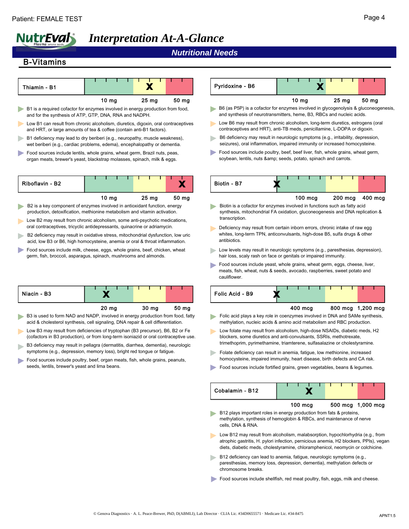# *Interpretation At-A-Glance*

# *Nutritional Needs*

#### B-Vitamins

| Thiamin - B1                                                                                                                                                           |                  | X                |       | Pyridoxine - B6                                                                               |
|------------------------------------------------------------------------------------------------------------------------------------------------------------------------|------------------|------------------|-------|-----------------------------------------------------------------------------------------------|
|                                                                                                                                                                        | 10 <sub>mg</sub> | 25 <sub>mg</sub> | 50 mg |                                                                                               |
| B1 is a required cofactor for enzymes involved in energy production from food,<br>and for the synthesis of ATP, GTP, DNA, RNA and NADPH.                               |                  |                  |       | B6 (as P5P) is a cofactor for enzyn<br>and synthesis of neurotransmitters.                    |
| Low B1 can result from chronic alcoholism, diuretics, digoxin, oral contraceptives<br>and HRT, or large amounts of tea & coffee (contain anti-B1 factors).             |                  |                  |       | Low B6 may result from chronic ald<br>contraceptives and HRT), anti-TB r                      |
| B1 deficiency may lead to dry beriberi (e.g., neuropathy, muscle weakness),<br>wet beriberi (e.g., cardiac problems, edema), encephalopathy or dementia.               |                  |                  |       | B6 deficiency may result in neurold<br>seizures), oral inflammation, impai                    |
| Food sources include lentils, whole grains, wheat germ, Brazil nuts, peas,<br>organ meats, brewer's yeast, blackstrap molasses, spinach, milk & eggs.                  |                  |                  |       | Food sources include poultry, beef,<br>soybean, lentils, nuts & seeds                         |
| Riboflavin - B2                                                                                                                                                        |                  |                  | Х     | Biotin - B7                                                                                   |
|                                                                                                                                                                        | 10 mg            | 25 <sub>mg</sub> | 50 mg |                                                                                               |
| B2 is a key component of enzymes involved in antioxidant function, energy<br>production, detoxification, methionine metabolism and vitamin activation.                 |                  |                  |       | Biotin is a cofactor for enzymes inv<br>synthesis, mitochondrial FA oxidati                   |
| Low B2 may result from chronic alcoholism, some anti-psychotic medications,<br>oral contraceptives, tricyclic antidepressants, quinacrine or adriamycin.               |                  |                  |       | transcription.<br>Deficiency may result from certain                                          |
| B2 deficiency may result in oxidative stress, mitochondrial dysfunction, low uric<br>acid, low B3 or B6, high homocysteine, anemia or oral & throat inflammation.      |                  |                  |       | whites, long-term TPN, anticonvuls<br>antibiotics.                                            |
| Food sources include milk, cheese, eggs, whole grains, beef, chicken, wheat<br>germ, fish, broccoli, asparagus, spinach, mushrooms and almonds.                        |                  |                  |       | Low levels may result in neurologic<br>hair loss, scaly rash on face or gen                   |
|                                                                                                                                                                        |                  |                  |       | Food sources include yeast, whole<br>meats, fish, wheat, nuts & seeds, a<br>cauliflower.      |
| Niacin - B3                                                                                                                                                            | X                |                  |       | Folic Acid - B9                                                                               |
|                                                                                                                                                                        | 20 <sub>mg</sub> | 30 mg            | 50 mg |                                                                                               |
| B3 is used to form NAD and NADP, involved in energy production from food, fatty<br>acid & cholesterol synthesis, cell signaling, DNA repair & cell differentiation.    |                  |                  |       | Folic acid plays a key role in coenz<br>methylation, nucleic acids & amino                    |
| Low B3 may result from deficiencies of tryptophan (B3 precursor), B6, B2 or Fe<br>(cofactors in B3 production), or from long-term isoniazid or oral contraceptive use. |                  |                  |       | Low folate may result from alcoholi<br>blockers, some diuretics and anti-c                    |
| B3 deficiency may result in pellagra (dermatitis, diarrhea, dementia), neurologic                                                                                      |                  |                  |       | trimethoprim, pyrimethamine, triam                                                            |
| symptoms (e.g., depression, memory loss), bright red tongue or fatigue.<br>Food sources include poultry, beef, organ meats, fish, whole grains, peanuts,               |                  |                  |       | Folate deficiency can result in aner<br>homocysteine, impaired immunity,                      |
| seeds, lentils, brewer's yeast and lima beans.                                                                                                                         |                  |                  |       | Food sources include fortified grain                                                          |
|                                                                                                                                                                        |                  |                  |       | Cobalamin - B12                                                                               |
|                                                                                                                                                                        |                  |                  |       |                                                                                               |
|                                                                                                                                                                        |                  |                  |       | B12 plays important roles in energ<br>methylation, synthesis of hemoglol<br>cells, DNA & RNA. |
|                                                                                                                                                                        |                  |                  |       | Low B12 may result from alcoholis                                                             |

| Pyridoxine - B6                                                                                                                                                                                                                 |                  |  |         |                   |         |
|---------------------------------------------------------------------------------------------------------------------------------------------------------------------------------------------------------------------------------|------------------|--|---------|-------------------|---------|
|                                                                                                                                                                                                                                 | 10 <sub>mg</sub> |  | 25 mg   | 50 mg             |         |
| B6 (as P5P) is a cofactor for enzymes involved in glycogenolysis & gluconeogenesis,<br>and synthesis of neurotransmitters, heme, B3, RBCs and nucleic acids.                                                                    |                  |  |         |                   |         |
| Low B6 may result from chronic alcoholism, long-term diuretics, estrogens (oral<br>contraceptives and HRT), anti-TB meds, penicillamine, L-DOPA or digoxin.                                                                     |                  |  |         |                   |         |
| B6 deficiency may result in neurologic symptoms (e.g., irritability, depression,<br>seizures), oral inflammation, impaired immunity or increased homocysteine.                                                                  |                  |  |         |                   |         |
| Food sources include poultry, beef, beef liver, fish, whole grains, wheat germ,<br>soybean, lentils, nuts & seeds, potato, spinach and carrots.                                                                                 |                  |  |         |                   |         |
| Biotin - B7                                                                                                                                                                                                                     |                  |  |         |                   |         |
|                                                                                                                                                                                                                                 | 100 mcg          |  | 200 mcg |                   | 400 mcg |
| Biotin is a cofactor for enzymes involved in functions such as fatty acid<br>synthesis, mitochondrial FA oxidation, gluconeogenesis and DNA replication &<br>transcription.                                                     |                  |  |         |                   |         |
| Deficiency may result from certain inborn errors, chronic intake of raw egg<br>whites, long-term TPN, anticonvulsants, high-dose B5, sulfa drugs & other<br>antibiotics.                                                        |                  |  |         |                   |         |
| Low levels may result in neurologic symptoms (e.g., paresthesias, depression),<br>hair loss, scaly rash on face or genitals or impaired immunity.                                                                               |                  |  |         |                   |         |
| Food sources include yeast, whole grains, wheat germ, eggs, cheese, liver,<br>meats, fish, wheat, nuts & seeds, avocado, raspberries, sweet potato and<br>cauliflower.                                                          |                  |  |         |                   |         |
| Folic Acid - B9                                                                                                                                                                                                                 |                  |  |         |                   |         |
|                                                                                                                                                                                                                                 | 400 mcg          |  | 800 mcg | $1,200$ mcg       |         |
| Folic acid plays a key role in coenzymes involved in DNA and SAMe synthesis,<br>methylation, nucleic acids & amino acid metabolism and RBC production.                                                                          |                  |  |         |                   |         |
| Low folate may result from alcoholism, high-dose NSAIDs, diabetic meds, H2<br>blockers, some diuretics and anti-convulsants, SSRIs, methotrexate,<br>trimethoprim, pyrimethamine, triamterene, sulfasalazine or cholestyramine. |                  |  |         |                   |         |
| Folate deficiency can result in anemia, fatigue, low methionine, increased<br>homocysteine, impaired immunity, heart disease, birth defects and CA risk.                                                                        |                  |  |         |                   |         |
| Food sources include fortified grains, green vegetables, beans & legumes.                                                                                                                                                       |                  |  |         |                   |         |
|                                                                                                                                                                                                                                 |                  |  |         |                   |         |
| Cobalamin - B12                                                                                                                                                                                                                 |                  |  |         |                   |         |
|                                                                                                                                                                                                                                 | 100 mcg          |  |         | 500 mcg 1,000 mcg |         |

- $sm$ , malabsorption, hypochlorhydria (e.g., from atrophic gastritis, H. pylori infection, pernicious anemia, H2 blockers, PPIs), vegan diets, diabetic meds, cholestyramine, chloramphenicol, neomycin or colchicine.
- B12 deficiency can lead to anemia, fatigue, neurologic symptoms (e.g., paresthesias, memory loss, depression, dementia), methylation defects or chromosome breaks.
- Food sources include shellfish, red meat poultry, fish, eggs, milk and cheese.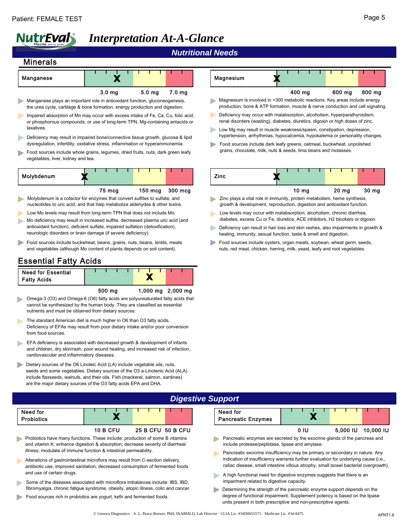# *Interpretation At-A-Glance*

#### *Nutritional Needs*

## Minerals

| Manganese                                                                                                                                                   |                   |                   |        |
|-------------------------------------------------------------------------------------------------------------------------------------------------------------|-------------------|-------------------|--------|
|                                                                                                                                                             | 3.0 <sub>ma</sub> | 5.0 <sub>ma</sub> | 7.0 mg |
| Manganese plays an important role in antioxidant function, gluconeogenesis,<br>the urea cycle, cartilage & bone formation, energy production and digestion. |                   |                   |        |

- Impaired absorption of Mn may occur with excess intake of Fe, Ca, Cu, folic acid, or phosphorous compounds, or use of long-term TPN, Mg-containing antacids or laxatives.
- Deficiency may result in impaired bone/connective tissue growth, glucose & lipid dysregulation, infertility, oxidative stress, inflammation or hyperammonemia.
- Food sources include whole grains, legumes, dried fruits, nuts, dark green leafy vegetables, liver, kidney and tea.

| Molybdenum | - 7 |        |  |  |                   |         |  |
|------------|-----|--------|--|--|-------------------|---------|--|
|            |     | 75 mcg |  |  | $150 \text{ mca}$ | 300 mcg |  |

- Molybdenum is a cofactor for enzymes that convert sulfites to sulfate, and nucleotides to uric acid, and that help metabolize aldehydes & other toxins.
- Low Mo levels may result from long-term TPN that does not include Mo.
- Mo deficiency may result in increased sulfite, decreased plasma uric acid (and antioxidant function), deficient sulfate, impaired sulfation (detoxification), neurologic disorders or brain damage (if severe deficiency).
- Food sources include buckwheat, beans, grains, nuts, beans, lentils, meats and vegetables (although Mo content of plants depends on soil content).

# Essential Fatty Acids

| <b>Need for Essential</b><br><b>Fatty Acids</b> |        |                             |  |
|-------------------------------------------------|--------|-----------------------------|--|
|                                                 | 500 mg | $1,000 \text{ ma}$ 2,000 mg |  |

- Omega-3 (O3) and Omega-6 (O6) fatty acids are polyunsaturated fatty acids that
- cannot be synthesized by the human body. They are classified as essential nutrients and must be obtained from dietary sources.
- The standard American diet is much higher in O6 than O3 fatty acids. Deficiency of EFAs may result from poor dietary intake and/or poor conversion from food sources.
- EFA deficiency is associated with decreased growth & development of infants and children, dry skin/rash, poor wound healing, and increased risk of infection, cardiovascular and inflammatory diseases.
- Dietary sources of the O6 Linoleic Acid (LA) include vegetable oils, nuts, seeds and some vegetables. Dietary sources of the O3 a-Linolenic Acid (ALA) include flaxseeds, walnuts, and their oils. Fish (mackerel, salmon, sardines) are the major dietary sources of the O3 fatty acids EPA and DHA.

| Magnesium                                                                                                                                                      |        |        |        |
|----------------------------------------------------------------------------------------------------------------------------------------------------------------|--------|--------|--------|
|                                                                                                                                                                | 400 mg | 600 mg | 800 mg |
| Magnesium is involved in >300 metabolic reactions. Key areas include energy<br>production, bone & ATP formation, muscle & nerve conduction and cell signaling. |        |        |        |

- Deficiency may occur with malabsorption, alcoholism, hyperparathyroidism, renal disorders (wasting), diabetes, diuretics, digoxin or high doses of zinc.
- Low Mg may result in muscle weakness/spasm, constipation, depression, hypertension, arrhythmias, hypocalcemia, hypokalemia or personality changes.
- Food sources include dark leafy greens, oatmeal, buckwheat, unpolished grains, chocolate, milk, nuts & seeds, lima beans and molasses.

| Zinc | $\mathbf{u}$ |                  |  |                 |  |                  |
|------|--------------|------------------|--|-----------------|--|------------------|
|      |              | 10 <sub>ma</sub> |  | $20 \text{ ma}$ |  | 30 <sub>ma</sub> |

- Zinc plays a vital role in immunity, protein metabolism, heme synthesis, growth & development, reproduction, digestion and antioxidant function.
- Low levels may occur with malabsorption, alcoholism, chronic diarrhea, diabetes, excess Cu or Fe, diuretics, ACE inhibitors, H2 blockers or digoxin.
- Deficiency can result in hair loss and skin rashes, also impairments in growth & healing, immunity, sexual function, taste & smell and digestion.
- Food sources include oysters, organ meats, soybean, wheat germ, seeds, nuts, red meat, chicken, herring, milk, yeast, leafy and root vegetables.

## *Digestive Support*

| Need for<br><b>Probiotics</b> |                 |                   |  |
|-------------------------------|-----------------|-------------------|--|
|                               | <b>10 B CFU</b> | 25 B CFU 50 B CFU |  |

- Probiotics have many functions. These include: production of some B vitamins and vitamin K; enhance digestion & absorption; decrease severity of diarrheal illness; modulate of immune function & intestinal permeability.
- Alterations of gastrointestinal microflora may result from C-section delivery, antibiotic use, improved sanitation, decreased consumption of fermented foods and use of certain drugs.
- Some of the diseases associated with microflora imbalances include: IBS, IBD, fibromyalgia, chronic fatigue syndrome, obesity, atopic illness, colic and cancer.
- Food sources rich in probiotics are yogurt, kefir and fermented foods.

| Need for<br><b>Pancreatic Enzymes</b> |  |           |
|---------------------------------------|--|-----------|
|                                       |  | 10.000 IU |

- Pancreatic enzymes are secreted by the exocrine glands of the pancreas and include protease/peptidase, lipase and amylase.
- Pancreatic exocrine insufficiency may be primary or secondary in nature. Any indication of insufficiency warrants further evaluation for underlying cause (i.e., celiac disease, small intestine villous atrophy, small bowel bacterial overgrowth).
- A high functional need for digestive enzymes suggests that there is an impairment related to digestive capacity.
- **Determining the strength of the pancreatic enzyme support depends on the** degree of functional impairment. Supplement potency is based on the lipase units present in both prescriptive and non-prescriptive agents.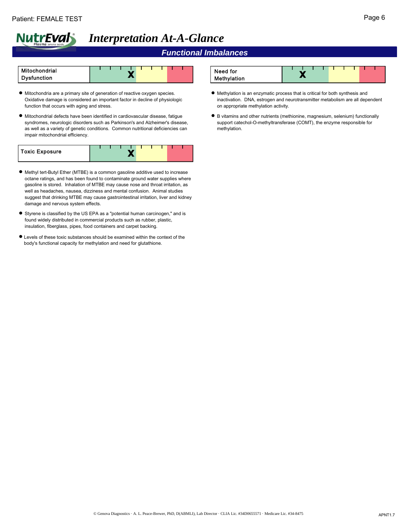# *Functional Imbalances*



- Mitochondria are a primary site of generation of reactive oxygen species. Oxidative damage is considered an important factor in decline of physiologic function that occurs with aging and stress.
- Mitochondrial defects have been identified in cardiovascular disease, fatigue syndromes, neurologic disorders such as Parkinson's and Alzheimer's disease, as well as a variety of genetic conditions. Common nutritional deficiencies can impair mitochondrial efficiency.

| Toxic Exposure |  |  |  |  |  |  |
|----------------|--|--|--|--|--|--|
|                |  |  |  |  |  |  |

- Methyl tert-Butyl Ether (MTBE) is a common gasoline additive used to increase octane ratings, and has been found to contaminate ground water supplies where gasoline is stored. Inhalation of MTBE may cause nose and throat irritation, as well as headaches, nausea, dizziness and mental confusion. Animal studies suggest that drinking MTBE may cause gastrointestinal irritation, liver and kidney damage and nervous system effects.
- Styrene is classified by the US EPA as a "potential human carcinogen," and is found widely distributed in commercial products such as rubber, plastic, insulation, fiberglass, pipes, food containers and carpet backing.
- Levels of these toxic substances should be examined within the context of the body's functional capacity for methylation and need for glutathione.



- Methylation is an enzymatic process that is critical for both synthesis and inactivation. DNA, estrogen and neurotransmitter metabolism are all dependent on appropriate methylation activity.
- B vitamins and other nutrients (methionine, magnesium, selenium) functionally support catechol-O-methyltransferase (COMT), the enzyme responsible for methylation.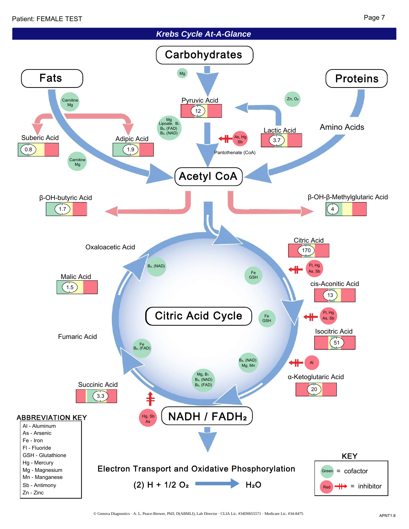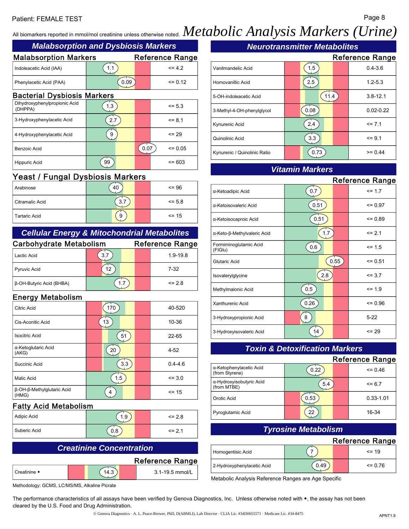## Patient: FEMALE TEST Page 8

# All biomarkers reported in mmol/mol creatinine unless otherwise noted.  $Methodolic\ Analysis\ Markets\ (Urine)$

# *Malabsorption and Dysbiosis Markers*

| <b><i>INGRUSSION DUCKS DYSDIOSIS INGLINIA</i></b> |      |  |                        |  |
|---------------------------------------------------|------|--|------------------------|--|
| <b>Malabsorption Markers</b>                      |      |  | <b>Reference Range</b> |  |
| Indoleacetic Acid (IAA)                           | 1.1  |  | $= 42$                 |  |
| Phenylacetic Acid (PAA)                           | 0.09 |  | $= 0.12$               |  |
| <b>Dooterial Duchicois Markers</b>                |      |  |                        |  |

#### Bacterial Dysbiosis Markers

| Dihydroxyphenylpropionic Acid<br>(DHPPA) | 1.3 |      | $\le$ = 5.3 |
|------------------------------------------|-----|------|-------------|
| 3-Hydroxyphenylacetic Acid               | 2.7 |      | $= 8.1$     |
| 4-Hydroxyphenylacetic Acid               | 9   |      | $= 29$      |
| Benzoic Acid                             |     | 0.07 | $= 0.05$    |
| <b>Hippuric Acid</b>                     | 99  |      | $\leq$ 603  |

# Yeast / Fungal Dysbiosis Markers

| Arabinose            | 40 | $= 96$      |
|----------------------|----|-------------|
| l Citramalic Acid    | 3. | $\le$ = 5.8 |
| <b>Tartaric Acid</b> | 9  | $= 15$      |

# *Cellular Energy & Mitochondrial Metabolites*

| <b>Carbohydrate Metabolism</b> |     |  | <b>Reference Range</b> |
|--------------------------------|-----|--|------------------------|
| Lactic Acid                    | 3.7 |  | $1.9 - 19.8$           |
| <b>Pyruvic Acid</b>            | 12  |  | $7-32$                 |
| β-OH-Butyric Acid (BHBA)       | 1.7 |  | $= 28$                 |

# Energy Metabolism

| Citric Acid                         | 170 | 40-520      |
|-------------------------------------|-----|-------------|
| Cis-Aconitic Acid                   | 13  | 10-36       |
| <b>Isocitric Acid</b>               | 51  | $22 - 65$   |
| α-Ketoglutaric Acid<br>(AKG)        | 20  | $4 - 52$    |
| Succinic Acid                       | 3.3 | $0.4 - 4.6$ |
| Malic Acid                          | 1.5 | $= 3.0$     |
| β-OH-β-Methylglutaric Acid<br>(HMG) |     | $= 15$      |

## Fatty Acid Metabolism

| Adipic Acid    | . . 9 | $\leq$ 2.8 |
|----------------|-------|------------|
| l Suberic Acid | 0.8   | $\leq$ 2.1 |

# *Creatinine Concentration*

|                | <b>Reference Range</b> |
|----------------|------------------------|
| l Creatinine ◆ | 3.1-19.5 mmol/L        |

Methodology: GCMS, LC/MS/MS, Alkaline Picrate

# *Neurotransmitter Metabolites*

|                              |      | <b>Reference Range</b> |
|------------------------------|------|------------------------|
| Vanilmandelic Acid           | 1.5  | $0.4 - 3.6$            |
| Homovanillic Acid            | 2.5  | $1.2 - 5.3$            |
| 5-OH-indoleacetic Acid       | 11.4 | $3.8 - 12.1$           |
| 3-Methyl-4-OH-phenylglycol   | 0.08 | $0.02 - 0.22$          |
| Kynurenic Acid               | 2.4  | $= 7.1$                |
| Quinolinic Acid              | 3.3  | $= 9.1$                |
| Kynurenic / Quinolinic Ratio |      | $>= 0.44$              |

# *Vitamin Markers*

|                                   |      |      | <b>Reference Range</b> |
|-----------------------------------|------|------|------------------------|
| α-Ketoadipic Acid                 | 0.7  |      | $= 1.7$                |
| α-Ketoisovaleric Acid             | 0.51 |      | $= 0.97$               |
| α-Ketoisocaproic Acid             | 0.51 |      | $= 0.89$               |
| α-Keto-β-Methylvaleric Acid       | 1.7  |      | $= 2.1$                |
| Formiminoglutamic Acid<br>(FIGIu) | 0.6  |      | $\le$ = 1.5            |
| Glutaric Acid                     |      | 0.55 | $= 0.51$               |
| Isovalerylglycine                 | 2.8  |      | $= 3.7$                |
| Methylmalonic Acid                | 0.5  |      | $= 1.9$                |
| Xanthurenic Acid                  | 0.26 |      | $\leq$ 0.96            |
| 3-Hydroxypropionic Acid           | 8    |      | $5 - 22$               |
| 3-Hydroxyisovaleric Acid          | 14   |      | $= 29$                 |

## *Toxin & Detoxification Markers*

|                                           |      | <b>Reference Range</b> |
|-------------------------------------------|------|------------------------|
| α-Ketophenylacetic Acid<br>(from Styrene) | 0.22 | $= 0.46$               |
| α-Hydroxyisobutyric Acid<br>(from MTBE)   | 5.4  | $= 6.7$                |
| Orotic Acid                               | 0.53 | $0.33 - 1.01$          |
| <b>Pyroglutamic Acid</b>                  | 22   | 16-34                  |

## *Tyrosine Metabolism*

## Reference Range

| Homogentisic Acid          |      | $\leq$ = 19 |
|----------------------------|------|-------------|
| 2-Hydroxyphenylacetic Acid | 49.ر | $\leq$ 0.76 |

Metabolic Analysis Reference Ranges are Age Specific

The performance characteristics of all assays have been verified by Genova Diagnostics, Inc. Unless otherwise noted with ◆, the assay has not been cleared by the U.S. Food and Drug Administration.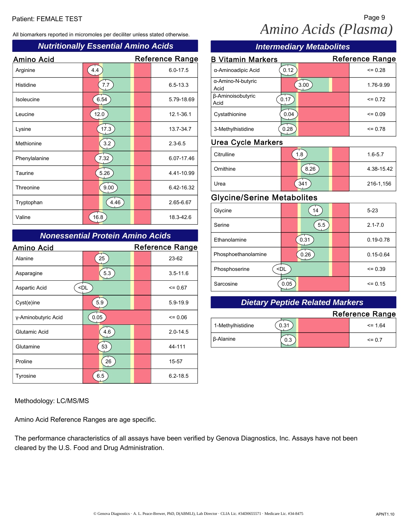All biomarkers reported in micromoles per deciliter unless stated otherwise.

## *Nutritionally Essential Amino Acids*

| <b>Amino Acid</b> |      | <b>Reference Range</b> |  |
|-------------------|------|------------------------|--|
| Arginine          | 4.4  | $6.0 - 17.5$           |  |
| Histidine         | 7.7  | $6.5 - 13.3$           |  |
| Isoleucine        | 6.54 | 5.79-18.69             |  |
| Leucine           | 12.0 | 12.1-36.1              |  |
| Lysine            | 17.3 | 13.7-34.7              |  |
| Methionine        | 3.2  | $2.3 - 6.5$            |  |
| Phenylalanine     | 7.32 | 6.07-17.46             |  |
| Taurine           | 5.26 | 4.41-10.99             |  |
| Threonine         | 9.00 | 6.42-16.32             |  |
| Tryptophan        | 4.46 | 2.65-6.67              |  |
| Valine            | 16.8 | 18.3-42.6              |  |

## *Nonessential Protein Amino Acids*

| <b>Amino Acid</b>   |                                               | <b>Reference Range</b> |
|---------------------|-----------------------------------------------|------------------------|
| Alanine             | 25                                            | 23-62                  |
| Asparagine          | 5.3                                           | $3.5 - 11.6$           |
| Aspartic Acid       | <dl< td=""><td><math>= 0.67</math></td></dl<> | $= 0.67$               |
| Cyst(e)ine          | 5.9                                           | $5.9 - 19.9$           |
| y-Aminobutyric Acid | 0.05                                          | $= 0.06$               |
| Glutamic Acid       | 4.6                                           | $2.0 - 14.5$           |
| Glutamine           | 53                                            | 44-111                 |
| Proline             | 26                                            | 15-57                  |
| Tyrosine            | 6.5                                           | $6.2 - 18.5$           |

#### Methodology: LC/MS/MS

Amino Acid Reference Ranges are age specific.

The performance characteristics of all assays have been verified by Genova Diagnostics, Inc. Assays have not been cleared by the U.S. Food and Drug Administration.

# Patient: FEMALE TEST Page 9 *Amino Acids (Plasma)*

| <b>nino Acids</b>        | <b>Intermediary Metabolites</b>   |                                                        |  |                        |  |
|--------------------------|-----------------------------------|--------------------------------------------------------|--|------------------------|--|
| Reference Range          | <b>B Vitamin Markers</b>          |                                                        |  | <b>Reference Range</b> |  |
| $6.0 - 17.5$             | α-Aminoadipic Acid                | 0.12                                                   |  | $= 0.28$               |  |
| $6.5 - 13.3$             | α-Amino-N-butyric<br>Acid         | 3.00                                                   |  | 1.76-9.99              |  |
| 5.79-18.69               | β-Aminoisobutyric<br>Acid         | 0.17                                                   |  | $= 0.72$               |  |
| 12.1-36.1                | Cystathionine                     | 0.04                                                   |  | $= 0.09$               |  |
| 13.7-34.7                | 3-Methylhistidine                 | 0.28                                                   |  | $= 0.78$               |  |
| $2.3 - 6.5$              | <b>Urea Cycle Markers</b>         |                                                        |  |                        |  |
| 6.07-17.46               | Citrulline                        | 1.8                                                    |  | $1.6 - 5.7$            |  |
| 4.41-10.99               | Ornithine                         | 8.26                                                   |  | 4.38-15.42             |  |
| 6.42-16.32               | Urea                              | 341                                                    |  | 216-1,156              |  |
| 2.65-6.67                | <b>Glycine/Serine Metabolites</b> |                                                        |  |                        |  |
|                          | Glycine                           | 14                                                     |  | $5 - 23$               |  |
| 18.3-42.6                | Serine                            | 5.5                                                    |  | $2.1 - 7.0$            |  |
| ino Acids                | Ethanolamine                      | 0.31                                                   |  | $0.19 - 0.78$          |  |
| Reference Range<br>23-62 | Phosphoethanolamine               | 0.26                                                   |  | $0.15 - 0.64$          |  |
| $3.5 - 11.6$             | Phosphoserine                     | <dl< td=""><td></td><td><math>= 0.39</math></td></dl<> |  | $= 0.39$               |  |
|                          | Sarcosine                         | 0.05                                                   |  | $= 0.15$               |  |

# *Dietary Peptide Related Markers*

|                   |      | <b>Reference Range</b> |
|-------------------|------|------------------------|
| 1-Methylhistidine | 0.31 | $\leq$ 1.64            |
| β-Alanine         | 0.3  | $\leq$ 0.7             |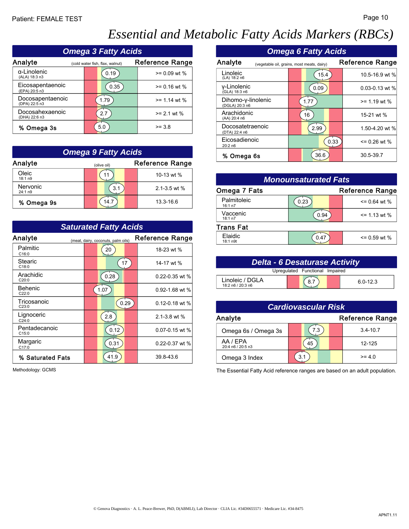# *Essential and Metabolic Fatty Acids Markers (RBCs)*

|                                   | <b>Omega 3 Fatty Acids</b>      |                        |                                           | <b>Omega 6 Fatty Acids</b>                      |
|-----------------------------------|---------------------------------|------------------------|-------------------------------------------|-------------------------------------------------|
| Analyte                           | (cold water fish, flax, walnut) | <b>Reference Range</b> | Analyte                                   | R<br>(vegetable oil, grains, most meats, dairy) |
| α-Linolenic<br>(ALA) 18:3 n3      | 0.19                            | $= 0.09$ wt %          | Linoleic<br>(LA) 18:2 n6                  | 15.4                                            |
| Eicosapentaenoic<br>(EPA) 20:5 n3 | 0.35                            | $>= 0.16$ wt %         | v-Linolenic<br>(GLA) 18:3 n6              | 0.09                                            |
| Docosapentaenoic<br>(DPA) 22:5 n3 | 1.79                            | $>= 1.14$ wt %         | Dihomo-y-linolenic<br>(DGLA) 20:3 n6      | 1.77                                            |
| Docosahexaenoic<br>(DHA) 22:6 n3  | 2.7                             | $>= 2.1$ wt %          | Arachidonic<br>(AA) 20:4 n6               | 16                                              |
| % Omega 3s                        | 5.0                             | $>= 3.8$               | Docosatetraenoic<br>$(DT_A)$ $(22.4 - 6)$ | 2.99                                            |

| <b>Omega 9 Fatty Acids</b> |             |                        |  |  |  |  |
|----------------------------|-------------|------------------------|--|--|--|--|
| Analyte                    | (olive oil) | <b>Reference Range</b> |  |  |  |  |
| Oleic<br>18:1 n9           |             | 10-13 wt %             |  |  |  |  |
| Nervonic<br>24:1 n9        | 3.1         | $2.1 - 3.5$ wt %       |  |  |  |  |
| % Omega 9s                 | 14.7        | 13.3-16.6              |  |  |  |  |

| <b>Saturated Fatty Acids</b> |  |                                    |      |                    |  |
|------------------------------|--|------------------------------------|------|--------------------|--|
| Analyte                      |  | (meat, dairy, coconuts, palm oils) |      | Reference Range    |  |
| Palmitic<br>C16:0            |  | 20                                 |      | 18-23 wt %         |  |
| Stearic<br>C18:0             |  |                                    | 17   | 14-17 wt %         |  |
| Arachidic<br>C20.0           |  | 0.28                               |      | $0.22 - 0.35$ wt % |  |
| <b>Behenic</b><br>C22:0      |  | 1.07                               |      | 0.92-1.68 wt %     |  |
| Tricosanoic<br>C23:0         |  |                                    | 0.29 | $0.12 - 0.18$ wt % |  |
| Lignoceric<br>C24:0          |  | 2.8                                |      | $2.1 - 3.8$ wt %   |  |
| Pentadecanoic<br>C.15:0      |  | 0.12                               |      | $0.07 - 0.15$ wt % |  |
| Margaric<br>C17:0            |  | 0.31                               |      | $0.22 - 0.37$ wt % |  |
| % Saturated Fats             |  | 41.9                               |      | 39.8-43.6          |  |

Methodology: GCMS

| <b>S</b>               |                                      | <b>Omega 6 Fatty Acids</b>                 |                 |  |  |  |
|------------------------|--------------------------------------|--------------------------------------------|-----------------|--|--|--|
| <b>Reference Range</b> | Analyte                              | (vegetable oil, grains, most meats, dairy) | Reference Range |  |  |  |
| $>= 0.09$ wt %         | Linoleic<br>(LA) 18:2 n6             | 15.4                                       | 10.5-16.9 wt %  |  |  |  |
| $>= 0.16$ wt %         | v-Linolenic<br>(GLA) 18:3 n6         | 0.09                                       | 0.03-0.13 wt %  |  |  |  |
| $>= 1.14$ wt %         | Dihomo-y-linolenic<br>(DGLA) 20:3 n6 | 1.77                                       | $>= 1.19$ wt %  |  |  |  |
| $>= 2.1$ wt %          | Arachidonic<br>(AA) 20:4 n6          | 16                                         | 15-21 wt %      |  |  |  |
| $>= 3.8$               | Docosatetraenoic<br>(DTA) 22:4 n6    | 2.99                                       | 1.50-4.20 wt %  |  |  |  |
|                        | Eicosadienoic<br>20:2 n6             | 0.33                                       | $= 0.26$ wt %   |  |  |  |
| ds                     | % Omega 6s                           | 36.6                                       | 30.5-39.7       |  |  |  |

| しいし<br>18:1 n9      |                                    | 10-13 wt $\%$          |                        | <b>Monounsaturated Fats</b> |                        |
|---------------------|------------------------------------|------------------------|------------------------|-----------------------------|------------------------|
| Nervonic<br>24:1 n9 | 3.1                                | $2.1 - 3.5$ wt %       | Omega 7 Fats           |                             | <b>Reference Range</b> |
| % Omega 9s          | 14.7                               | 13.3-16.6              | Palmitoleic<br>16:1 n7 | 0.23                        | $= 0.64$ wt %          |
|                     |                                    |                        | Vaccenic<br>18:1 n7    | 0.94                        | $= 1.13$ wt %          |
|                     | <b>Saturated Fatty Acids</b>       |                        | <b>Trans Fat</b>       |                             |                        |
| าalyte              | (meat, dairy, coconuts, palm oils) | <b>Reference Range</b> | Elaidic<br>18:1 n9t    | 0.47                        | $= 0.59$ wt %          |
| Dolmitia            |                                    |                        |                        |                             |                        |

| <b>Delta - 6 Desaturase Activity</b> |  |  |  |              |
|--------------------------------------|--|--|--|--------------|
| Upregulated Functional Impaired      |  |  |  |              |
| Linoleic / DGLA<br>18:2 n6 / 20:3 n6 |  |  |  | $6.0 - 12.3$ |

| <b>Cardiovascular Risk</b>    |     |                        |
|-------------------------------|-----|------------------------|
| Analyte                       |     | <b>Reference Range</b> |
| Omega 6s / Omega 3s           | 7.3 | $3.4 - 10.7$           |
| AA / EPA<br>20:4 n6 / 20:5 n3 | 45  | 12-125                 |
| Omega 3 Index                 | 3.1 | $>= 4.0$               |

The Essential Fatty Acid reference ranges are based on an adult population.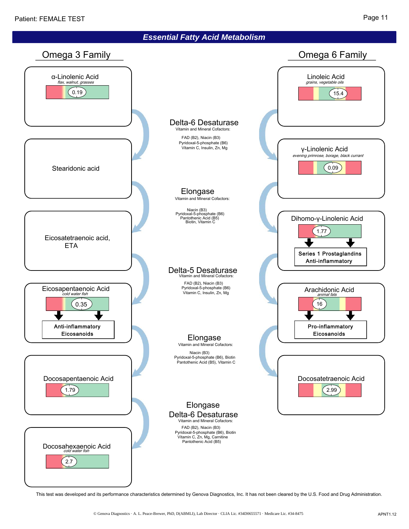

This test was developed and its performance characteristics determined by Genova Diagnostics, Inc. It has not been cleared by the U.S. Food and Drug Administration.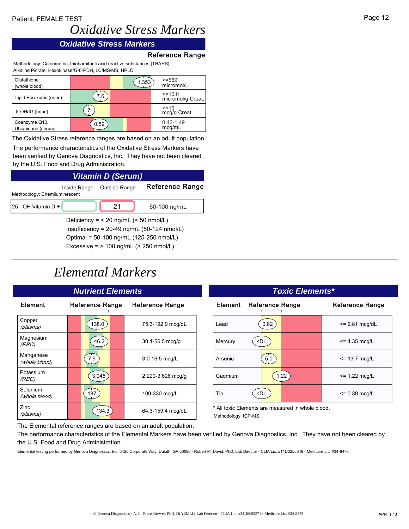## Patient: FEMALE TEST

# *Oxidative Stress Markers*

# *Oxidative Stress Markers*

#### Reference Range

Methodology: Colorimetric, thiobarbituric acid reactive substances (TBARS), Alkaline Picrate, Hexokinase/G-6-PDH, LC/MS/MS, HPLC

| Glutathione<br>(whole blood)        |      | 1,353 | $>= 669$<br>micromol/L      |
|-------------------------------------|------|-------|-----------------------------|
| Lipid Peroxides (urine)             | 7.6  |       | <=10.0<br>micromol/g Creat. |
| 8-OHdG (urine)                      |      |       | <=15<br>mcg/g Creat.        |
| Coenzyme Q10,<br>Ubiquinone (serum) | 0.59 |       | $0.43 - 1.49$<br>mcg/mL     |

The Oxidative Stress reference ranges are based on an adult population.

The performance characteristics of the Oxidative Stress Markers have been verified by Genova Diagnostics, Inc. They have not been cleared by the U.S. Food and Drug Administration.

# *Vitamin D (Serum)* Inside Range Outside Range Reference Range

| Methodology: Chemiluminescent              | 11000101190 | <b>OUNIOU INAILY</b> |              |
|--------------------------------------------|-------------|----------------------|--------------|
| 125 - OH Vitamin D ◆                       |             |                      | 50-100 ng/mL |
| Deficiency = $<$ 20 ng/mL ( $<$ 50 nmol/L) |             |                      |              |

Insufficiency = 20-49 ng/mL (50-124 nmol/L) Optimal = 50-100 ng/mL (125-250 nmol/L) Excessive = > 100 ng/mL (> 250 nmol/L)

# *Elemental Markers*

| Element                    | Reference Range | <b>Reference Range</b> | Element                      |
|----------------------------|-----------------|------------------------|------------------------------|
| Copper<br>(plasma)         | 138.0           | 75.3-192.0 mcg/dL      | Lead                         |
| Magnesium<br>(RBC)         | 46.2            | $30.1 - 56.5$ mcg/g    | Mercury                      |
| Manganese<br>(whole blood) | 7.9             | $3.0 - 16.5$ mcg/L     | Arsenic                      |
| Potassium<br>(RBC)         | 3,045           | 2,220-3,626 mcg/g      | Cadmium                      |
| Selenium<br>(whole blood)  | 187             | 109-330 mcg/L          | Tin                          |
| Zinc<br>(plasma)           | 134.3           | 64.3-159.4 mcg/dL      | * All toxic E<br>Methodology |

| าts                | <b>Toxic Elements*</b>                                     |                        |  |
|--------------------|------------------------------------------------------------|------------------------|--|
| Reference Range    | Element<br><b>Reference Range</b>                          | <b>Reference Range</b> |  |
| 75.3-192.0 mcg/dL  | 0.82<br>Lead                                               | $\leq$ 2.81 mcg/dL     |  |
| 30.1-56.5 mcg/g    | <dl<br>Mercury</dl<br>                                     | $= 4.35$ mcg/L         |  |
| $3.0 - 16.5$ mcg/L | $5.0\,$<br>Arsenic                                         | $= 13.7$ mcg/L         |  |
| 2,220-3,626 mcg/g  | Cadmium<br>1.22                                            | $= 1.22$ mcg/L         |  |
| 109-330 mcg/L      | Tin<br><dl< td=""><td><math>= 0.39</math> mcg/L</td></dl<> | $= 0.39$ mcg/L         |  |
|                    | * All taids. Elements, and monociment be integrate televal |                        |  |

All toxic Elements are measured in whole blood. Methodology: ICP-MS

The Elemental reference ranges are based on an adult population.

The performance characteristics of the Elemental Markers have been verified by Genova Diagnostics, Inc. They have not been cleared by the U.S. Food and Drug Administration.

Elemental testing performed by Genova Diagnostics, Inc. 3425 Corporate Way, Duluth, GA 30096 - Robert M. David, PhD, Lab Director - CLIA Lic. #11D0255349 - Medicare Lic. #34-8475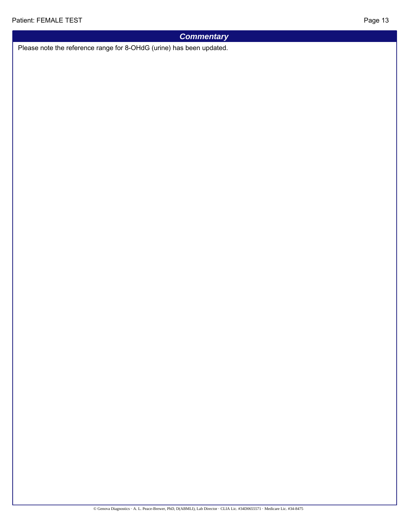# *Commentary*

Please note the reference range for 8-OHdG (urine) has been updated.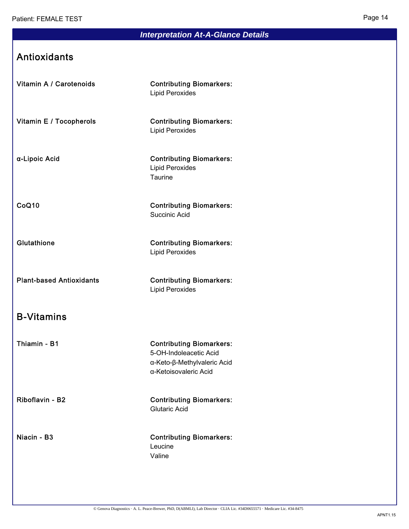# *Interpretation At-A-Glance Details*

# Antioxidants

Vitamin A / Carotenoids Contributing Biomarkers:

Lipid Peroxides

Vitamin E / Tocopherols Contributing Biomarkers: Lipid Peroxides

α-Lipoic Acid Contributing Biomarkers: Lipid Peroxides **Taurine** 

CoQ10 Contributing Biomarkers: Succinic Acid

Glutathione **Contributing Biomarkers:** Lipid Peroxides

Plant-based Antioxidants Contributing Biomarkers: Lipid Peroxides

# B-Vitamins

Thiamin - B1 Contributing Biomarkers: 5-OH-Indoleacetic Acid α-Keto-β-Methylvaleric Acid α-Ketoisovaleric Acid

Riboflavin - B2 Contributing Biomarkers: Glutaric Acid

Niacin - B3 Contributing Biomarkers: Leucine Valine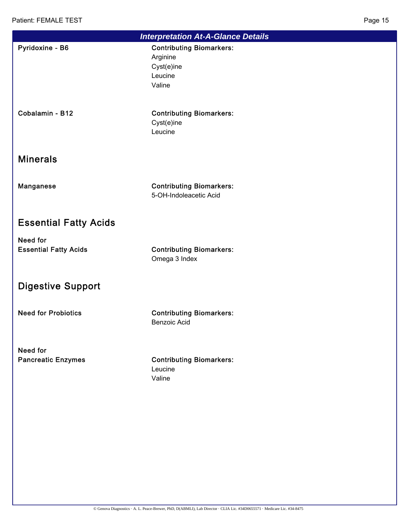| <b>Interpretation At-A-Glance Details</b> |                                                                                |  |  |
|-------------------------------------------|--------------------------------------------------------------------------------|--|--|
| Pyridoxine - B6                           | <b>Contributing Biomarkers:</b><br>Arginine<br>Cyst(e)ine<br>Leucine<br>Valine |  |  |
| Cobalamin - B12                           | <b>Contributing Biomarkers:</b><br>Cyst(e)ine<br>Leucine                       |  |  |
| <b>Minerals</b>                           |                                                                                |  |  |
| Manganese                                 | <b>Contributing Biomarkers:</b><br>5-OH-Indoleacetic Acid                      |  |  |
| <b>Essential Fatty Acids</b>              |                                                                                |  |  |
| Need for<br><b>Essential Fatty Acids</b>  | <b>Contributing Biomarkers:</b><br>Omega 3 Index                               |  |  |
| <b>Digestive Support</b>                  |                                                                                |  |  |
| <b>Need for Probiotics</b>                | <b>Contributing Biomarkers:</b><br><b>Benzoic Acid</b>                         |  |  |
| Need for<br><b>Pancreatic Enzymes</b>     | <b>Contributing Biomarkers:</b><br>Leucine<br>Valine                           |  |  |
|                                           |                                                                                |  |  |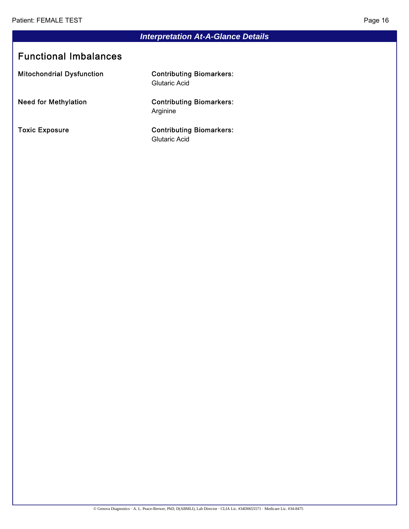# *Interpretation At-A-Glance Details*

# Functional Imbalances

Mitochondrial Dysfunction **Contributing Biomarkers:** 

Glutaric Acid

Need for Methylation **Contributing Biomarkers:** Arginine

Toxic Exposure Contributing Biomarkers: Glutaric Acid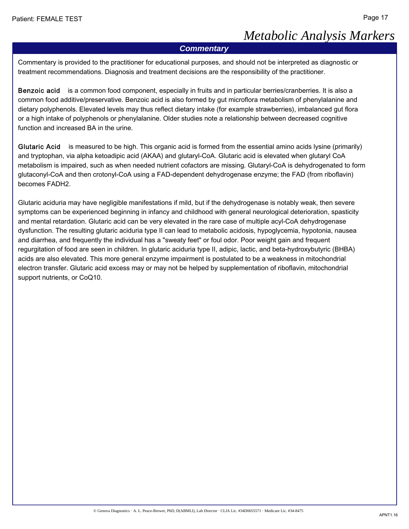# *Metabolic Analysis Markers*

#### *Commentary*

Commentary is provided to the practitioner for educational purposes, and should not be interpreted as diagnostic or treatment recommendations. Diagnosis and treatment decisions are the responsibility of the practitioner.

Benzoic acid is a common food component, especially in fruits and in particular berries/cranberries. It is also a common food additive/preservative. Benzoic acid is also formed by gut microflora metabolism of phenylalanine and dietary polyphenols. Elevated levels may thus reflect dietary intake (for example strawberries), imbalanced gut flora or a high intake of polyphenols or phenylalanine. Older studies note a relationship between decreased cognitive function and increased BA in the urine.

Glutaric Acid is measured to be high. This organic acid is formed from the essential amino acids lysine (primarily) and tryptophan, via alpha ketoadipic acid (AKAA) and glutaryl-CoA. Glutaric acid is elevated when glutaryl CoA metabolism is impaired, such as when needed nutrient cofactors are missing. Glutaryl-CoA is dehydrogenated to form glutaconyl-CoA and then crotonyl-CoA using a FAD-dependent dehydrogenase enzyme; the FAD (from riboflavin) becomes FADH2.

Glutaric aciduria may have negligible manifestations if mild, but if the dehydrogenase is notably weak, then severe symptoms can be experienced beginning in infancy and childhood with general neurological deterioration, spasticity and mental retardation. Glutaric acid can be very elevated in the rare case of multiple acyl-CoA dehydrogenase dysfunction. The resulting glutaric aciduria type II can lead to metabolic acidosis, hypoglycemia, hypotonia, nausea and diarrhea, and frequently the individual has a "sweaty feet" or foul odor. Poor weight gain and frequent regurgitation of food are seen in children. In glutaric aciduria type II, adipic, lactic, and beta-hydroxybutyric (BHBA) acids are also elevated. This more general enzyme impairment is postulated to be a weakness in mitochondrial electron transfer. Glutaric acid excess may or may not be helped by supplementation of riboflavin, mitochondrial support nutrients, or CoQ10.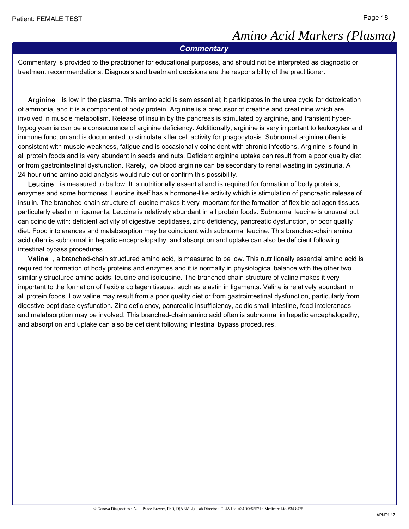# *Amino Acid Markers (Plasma)*

#### *Commentary*

Commentary is provided to the practitioner for educational purposes, and should not be interpreted as diagnostic or treatment recommendations. Diagnosis and treatment decisions are the responsibility of the practitioner.

 Arginine is low in the plasma. This amino acid is semiessential; it participates in the urea cycle for detoxication of ammonia, and it is a component of body protein. Arginine is a precursor of creatine and creatinine which are involved in muscle metabolism. Release of insulin by the pancreas is stimulated by arginine, and transient hyper-, hypoglycemia can be a consequence of arginine deficiency. Additionally, arginine is very important to leukocytes and immune function and is documented to stimulate killer cell activity for phagocytosis. Subnormal arginine often is consistent with muscle weakness, fatigue and is occasionally coincident with chronic infections. Arginine is found in all protein foods and is very abundant in seeds and nuts. Deficient arginine uptake can result from a poor quality diet or from gastrointestinal dysfunction. Rarely, low blood arginine can be secondary to renal wasting in cystinuria. A 24-hour urine amino acid analysis would rule out or confirm this possibility.

Leucine is measured to be low. It is nutritionally essential and is required for formation of body proteins, enzymes and some hormones. Leucine itself has a hormone-like activity which is stimulation of pancreatic release of insulin. The branched-chain structure of leucine makes it very important for the formation of flexible collagen tissues, particularly elastin in ligaments. Leucine is relatively abundant in all protein foods. Subnormal leucine is unusual but can coincide with: deficient activity of digestive peptidases, zinc deficiency, pancreatic dysfunction, or poor quality diet. Food intolerances and malabsorption may be coincident with subnormal leucine. This branched-chain amino acid often is subnormal in hepatic encephalopathy, and absorption and uptake can also be deficient following intestinal bypass procedures.

 Valine , a branched-chain structured amino acid, is measured to be low. This nutritionally essential amino acid is required for formation of body proteins and enzymes and it is normally in physiological balance with the other two similarly structured amino acids, leucine and isoleucine. The branched-chain structure of valine makes it very important to the formation of flexible collagen tissues, such as elastin in ligaments. Valine is relatively abundant in all protein foods. Low valine may result from a poor quality diet or from gastrointestinal dysfunction, particularly from digestive peptidase dysfunction. Zinc deficiency, pancreatic insufficiency, acidic small intestine, food intolerances and malabsorption may be involved. This branched-chain amino acid often is subnormal in hepatic encephalopathy, and absorption and uptake can also be deficient following intestinal bypass procedures.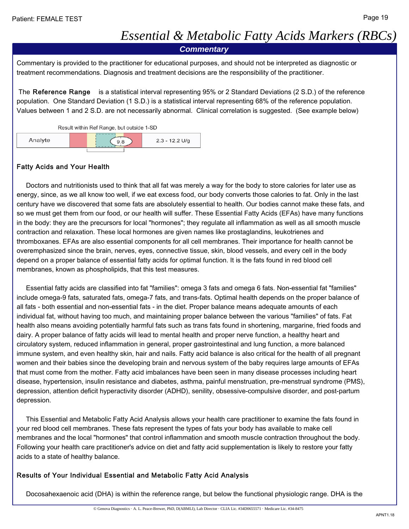# *Essential & Metabolic Fatty Acids Markers (RBCs)*

*Commentary*

Commentary is provided to the practitioner for educational purposes, and should not be interpreted as diagnostic or treatment recommendations. Diagnosis and treatment decisions are the responsibility of the practitioner.

 The Reference Range is a statistical interval representing 95% or 2 Standard Deviations (2 S.D.) of the reference population. One Standard Deviation (1 S.D.) is a statistical interval representing 68% of the reference population. Values between 1 and 2 S.D. are not necessarily abnormal. Clinical correlation is suggested. (See example below)



#### Fatty Acids and Your Health

 Doctors and nutritionists used to think that all fat was merely a way for the body to store calories for later use as energy, since, as we all know too well, if we eat excess food, our body converts those calories to fat. Only in the last century have we discovered that some fats are absolutely essential to health. Our bodies cannot make these fats, and so we must get them from our food, or our health will suffer. These Essential Fatty Acids (EFAs) have many functions in the body: they are the precursors for local "hormones"; they regulate all inflammation as well as all smooth muscle contraction and relaxation. These local hormones are given names like prostaglandins, leukotrienes and thromboxanes. EFAs are also essential components for all cell membranes. Their importance for health cannot be overemphasized since the brain, nerves, eyes, connective tissue, skin, blood vessels, and every cell in the body depend on a proper balance of essential fatty acids for optimal function. It is the fats found in red blood cell membranes, known as phospholipids, that this test measures.

 Essential fatty acids are classified into fat "families": omega 3 fats and omega 6 fats. Non-essential fat "families" include omega-9 fats, saturated fats, omega-7 fats, and trans-fats. Optimal health depends on the proper balance of all fats - both essential and non-essential fats - in the diet. Proper balance means adequate amounts of each individual fat, without having too much, and maintaining proper balance between the various "families" of fats. Fat health also means avoiding potentially harmful fats such as trans fats found in shortening, margarine, fried foods and dairy. A proper balance of fatty acids will lead to mental health and proper nerve function, a healthy heart and circulatory system, reduced inflammation in general, proper gastrointestinal and lung function, a more balanced immune system, and even healthy skin, hair and nails. Fatty acid balance is also critical for the health of all pregnant women and their babies since the developing brain and nervous system of the baby requires large amounts of EFAs that must come from the mother. Fatty acid imbalances have been seen in many disease processes including heart disease, hypertension, insulin resistance and diabetes, asthma, painful menstruation, pre-menstrual syndrome (PMS), depression, attention deficit hyperactivity disorder (ADHD), senility, obsessive-compulsive disorder, and post-partum depression.

 This Essential and Metabolic Fatty Acid Analysis allows your health care practitioner to examine the fats found in your red blood cell membranes. These fats represent the types of fats your body has available to make cell membranes and the local "hormones" that control inflammation and smooth muscle contraction throughout the body. Following your health care practitioner's advice on diet and fatty acid supplementation is likely to restore your fatty acids to a state of healthy balance.

#### Results of Your Individual Essential and Metabolic Fatty Acid Analysis

Docosahexaenoic acid (DHA) is within the reference range, but below the functional physiologic range. DHA is the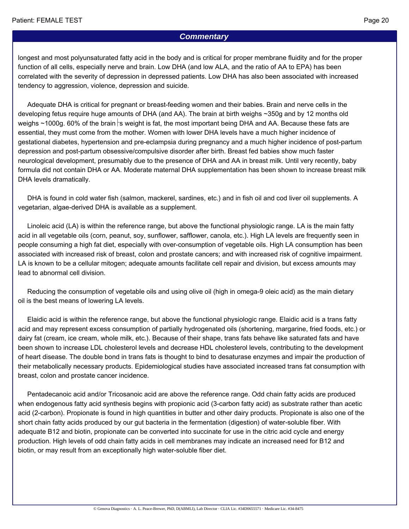#### *Commentary*

longest and most polyunsaturated fatty acid in the body and is critical for proper membrane fluidity and for the proper function of all cells, especially nerve and brain. Low DHA (and low ALA, and the ratio of AA to EPA) has been correlated with the severity of depression in depressed patients. Low DHA has also been associated with increased tendency to aggression, violence, depression and suicide.

 Adequate DHA is critical for pregnant or breast-feeding women and their babies. Brain and nerve cells in the developing fetus require huge amounts of DHA (and AA). The brain at birth weighs ~350g and by 12 months old weighs  $\sim$ 1000g. 60% of the brain s weight is fat, the most important being DHA and AA. Because these fats are essential, they must come from the mother. Women with lower DHA levels have a much higher incidence of gestational diabetes, hypertension and pre-eclampsia during pregnancy and a much higher incidence of post-partum depression and post-partum obsessive/compulsive disorder after birth. Breast fed babies show much faster neurological development, presumably due to the presence of DHA and AA in breast milk. Until very recently, baby formula did not contain DHA or AA. Moderate maternal DHA supplementation has been shown to increase breast milk DHA levels dramatically.

 DHA is found in cold water fish (salmon, mackerel, sardines, etc.) and in fish oil and cod liver oil supplements. A vegetarian, algae-derived DHA is available as a supplement.

 Linoleic acid (LA) is within the reference range, but above the functional physiologic range. LA is the main fatty acid in all vegetable oils (corn, peanut, soy, sunflower, safflower, canola, etc.). High LA levels are frequently seen in people consuming a high fat diet, especially with over-consumption of vegetable oils. High LA consumption has been associated with increased risk of breast, colon and prostate cancers; and with increased risk of cognitive impairment. LA is known to be a cellular mitogen; adequate amounts facilitate cell repair and division, but excess amounts may lead to abnormal cell division.

 Reducing the consumption of vegetable oils and using olive oil (high in omega-9 oleic acid) as the main dietary oil is the best means of lowering LA levels.

 Elaidic acid is within the reference range, but above the functional physiologic range. Elaidic acid is a trans fatty acid and may represent excess consumption of partially hydrogenated oils (shortening, margarine, fried foods, etc.) or dairy fat (cream, ice cream, whole milk, etc.). Because of their shape, trans fats behave like saturated fats and have been shown to increase LDL cholesterol levels and decrease HDL cholesterol levels, contributing to the development of heart disease. The double bond in trans fats is thought to bind to desaturase enzymes and impair the production of their metabolically necessary products. Epidemiological studies have associated increased trans fat consumption with breast, colon and prostate cancer incidence.

 Pentadecanoic acid and/or Tricosanoic acid are above the reference range. Odd chain fatty acids are produced when endogenous fatty acid synthesis begins with propionic acid (3-carbon fatty acid) as substrate rather than acetic acid (2-carbon). Propionate is found in high quantities in butter and other dairy products. Propionate is also one of the short chain fatty acids produced by our gut bacteria in the fermentation (digestion) of water-soluble fiber. With adequate B12 and biotin, propionate can be converted into succinate for use in the citric acid cycle and energy production. High levels of odd chain fatty acids in cell membranes may indicate an increased need for B12 and biotin, or may result from an exceptionally high water-soluble fiber diet.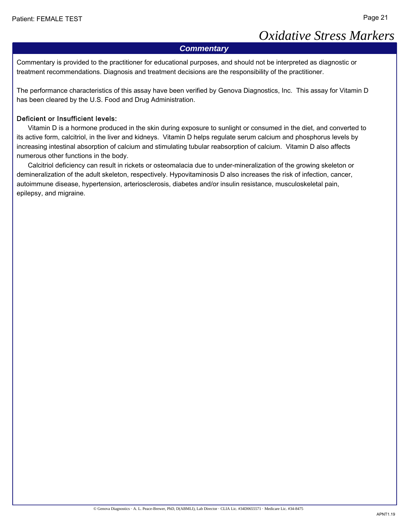# *Oxidative Stress Markers*

#### *Commentary*

Commentary is provided to the practitioner for educational purposes, and should not be interpreted as diagnostic or treatment recommendations. Diagnosis and treatment decisions are the responsibility of the practitioner.

The performance characteristics of this assay have been verified by Genova Diagnostics, Inc. This assay for Vitamin D has been cleared by the U.S. Food and Drug Administration.

#### Deficient or Insufficient levels:

 Vitamin D is a hormone produced in the skin during exposure to sunlight or consumed in the diet, and converted to its active form, calcitriol, in the liver and kidneys. Vitamin D helps regulate serum calcium and phosphorus levels by increasing intestinal absorption of calcium and stimulating tubular reabsorption of calcium. Vitamin D also affects numerous other functions in the body.

 Calcitriol deficiency can result in rickets or osteomalacia due to under-mineralization of the growing skeleton or demineralization of the adult skeleton, respectively. Hypovitaminosis D also increases the risk of infection, cancer, autoimmune disease, hypertension, arteriosclerosis, diabetes and/or insulin resistance, musculoskeletal pain, epilepsy, and migraine.